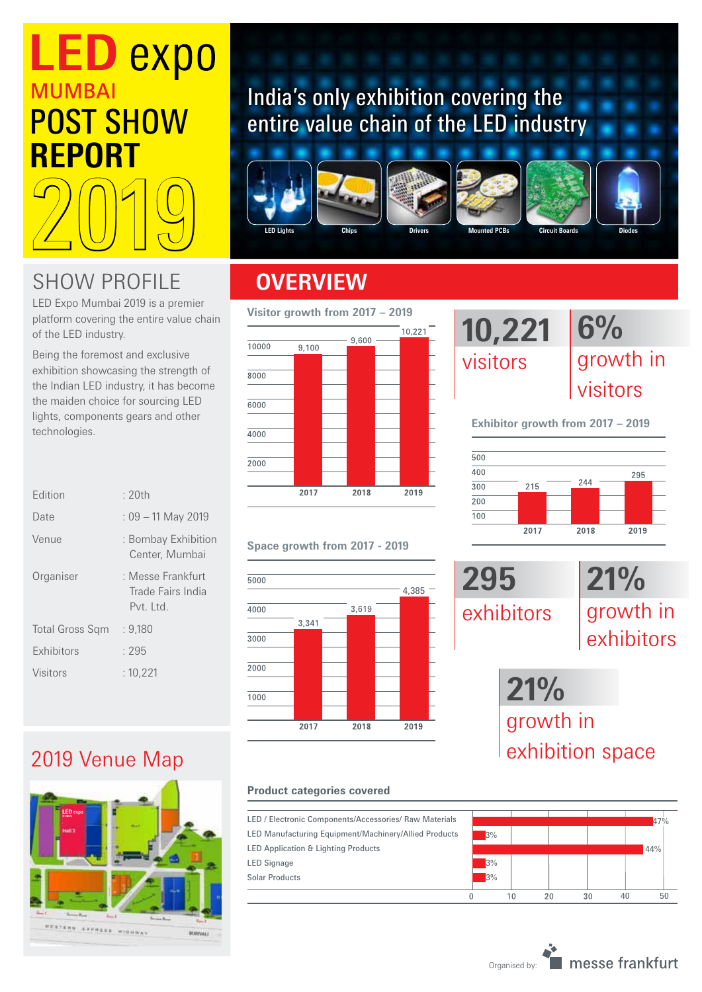# **LED expo MUMBAI** POST SHOW **REPORT** 2019

### SHOW PROFILE **OVERVIEW**

LED Expo Mumbai 2019 is a premier platform covering the entire value chain of the LED industry.

Being the foremost and exclusive exhibition showcasing the strength of the Indian LED industry, it has become the maiden choice for sourcing LED lights, components gears and other technologies.

| <b>Fdition</b>         | : $20th$                                              |
|------------------------|-------------------------------------------------------|
| Date                   | $: 09 - 11$ May 2019                                  |
| Venue                  | : Bombay Exhibition<br>Center, Mumbai                 |
| Organiser              | : Messe Frankfurt<br>Trade Fairs India<br>$Pvt$ $1td$ |
| <b>Total Gross Sqm</b> | : 9,180                                               |
| <b>Exhibitors</b>      | : 295                                                 |
| <b>Visitors</b>        | : 10.221                                              |
|                        |                                                       |

### 2019 Venue Map



## India's only exhibition covering the entire value chain of the LED industry











#### **Visitor growth from 2017 – 2019**



#### **Space growth from 2017 - 2019**



#### **Product categories covered**

LED / Electronic Components/Accessories/ Raw Materials LED Manufacturing Equipment/Machinery/Allied Products LED Application & Lighting Products LED Signage Solar Products

#### **10,221**  visitors **6%**  growth in visitors

**Exhibitor growth from 2017 – 2019**





### exhibition space